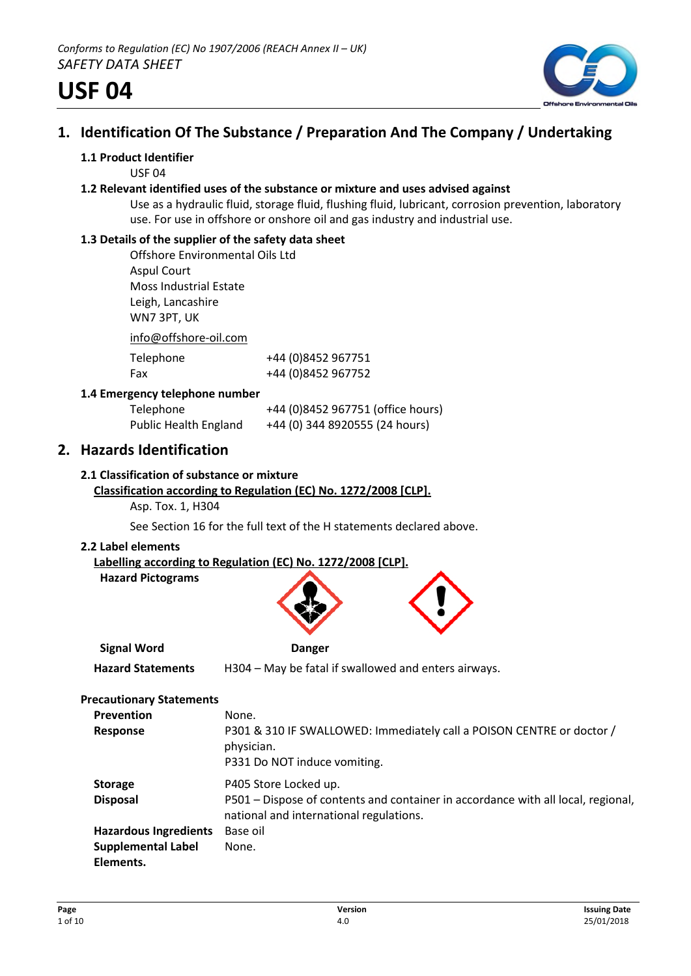

## **1. Identification Of The Substance / Preparation And The Company / Undertaking**

## **1.1 Product Identifier**

USF 04

#### **1.2 Relevant identified uses of the substance or mixture and uses advised against**

Use as a hydraulic fluid, storage fluid, flushing fluid, lubricant, corrosion prevention, laboratory use. For use in offshore or onshore oil and gas industry and industrial use.

## **1.3 Details of the supplier of the safety data sheet**

Offshore Environmental Oils Ltd Aspul Court Moss Industrial Estate Leigh, Lancashire WN7 3PT, UK

info@offshore-oil.com

| Telephone | +44 (0)8452 967751 |
|-----------|--------------------|
| Fax       | +44 (0)8452 967752 |

## **1.4 Emergency telephone number**

| Telephone                    | +44 (0)8452 967751 (office hours) |
|------------------------------|-----------------------------------|
| <b>Public Health England</b> | +44 (0) 344 8920555 (24 hours)    |

## **2. Hazards Identification**

## **2.1 Classification of substance or mixture**

## **Classification according to Regulation (EC) No. 1272/2008 [CLP].**

Asp. Tox. 1, H304

See Section 16 for the full text of the H statements declared above.

#### **2.2 Label elements**

**Labelling according to Regulation (EC) No. 1272/2008 [CLP].**



**Signal Word Danger**

**Hazard Statements** H304 – May be fatal if swallowed and enters airways.

#### **Precautionary Statements**

| <b>Prevention</b><br>Response                                          | None.<br>P301 & 310 IF SWALLOWED: Immediately call a POISON CENTRE or doctor /<br>physician.<br>P331 Do NOT induce vomiting.                         |
|------------------------------------------------------------------------|------------------------------------------------------------------------------------------------------------------------------------------------------|
| <b>Storage</b><br><b>Disposal</b>                                      | P405 Store Locked up.<br>P501 – Dispose of contents and container in accordance with all local, regional,<br>national and international regulations. |
| <b>Hazardous Ingredients</b><br><b>Supplemental Label</b><br>Elements. | Base oil<br>None.                                                                                                                                    |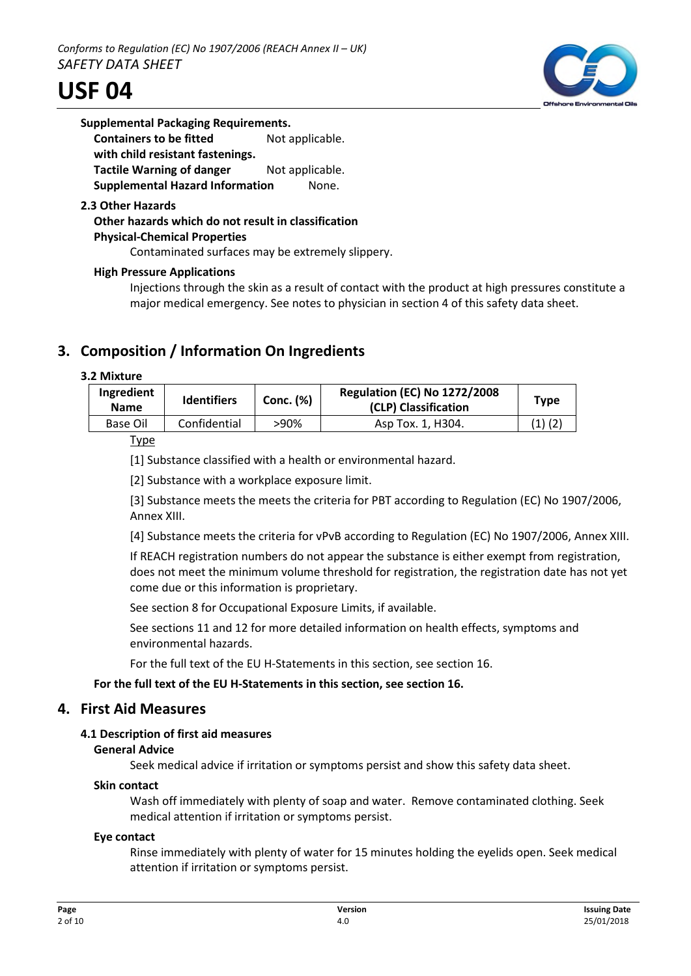

| <b>Supplemental Packaging Requirements.</b> |                 |
|---------------------------------------------|-----------------|
| <b>Containers to be fitted</b>              | Not applicable. |
| with child resistant fastenings.            |                 |
| <b>Tactile Warning of danger</b>            | Not applicable. |
| <b>Supplemental Hazard Information</b>      | None.           |
|                                             |                 |

#### **2.3 Other Hazards**

## **Other hazards which do not result in classification Physical-Chemical Properties**

Contaminated surfaces may be extremely slippery.

## **High Pressure Applications**

Injections through the skin as a result of contact with the product at high pressures constitute a major medical emergency. See notes to physician in section 4 of this safety data sheet.

## **3. Composition / Information On Ingredients**

#### **3.2 Mixture**

| Ingredient<br><b>Name</b> | <b>Identifiers</b> | <b>Conc. (%)</b> | <b>Regulation (EC) No 1272/2008</b><br>(CLP) Classification | Type        |
|---------------------------|--------------------|------------------|-------------------------------------------------------------|-------------|
| Base Oil                  | Confidential       | >90%             | Asp Tox. 1, H304.                                           | $(1)$ $(2)$ |

Type

[1] Substance classified with a health or environmental hazard.

[2] Substance with a workplace exposure limit.

[3] Substance meets the meets the criteria for PBT according to Regulation (EC) No 1907/2006, Annex XIII.

[4] Substance meets the criteria for vPvB according to Regulation (EC) No 1907/2006, Annex XIII.

If REACH registration numbers do not appear the substance is either exempt from registration, does not meet the minimum volume threshold for registration, the registration date has not yet come due or this information is proprietary.

See section 8 for Occupational Exposure Limits, if available.

See sections 11 and 12 for more detailed information on health effects, symptoms and environmental hazards.

For the full text of the EU H-Statements in this section, see section 16.

#### **For the full text of the EU H-Statements in this section, see section 16.**

## **4. First Aid Measures**

#### **4.1 Description of first aid measures**

#### **General Advice**

Seek medical advice if irritation or symptoms persist and show this safety data sheet.

#### **Skin contact**

Wash off immediately with plenty of soap and water. Remove contaminated clothing. Seek medical attention if irritation or symptoms persist.

#### **Eye contact**

Rinse immediately with plenty of water for 15 minutes holding the eyelids open. Seek medical attention if irritation or symptoms persist.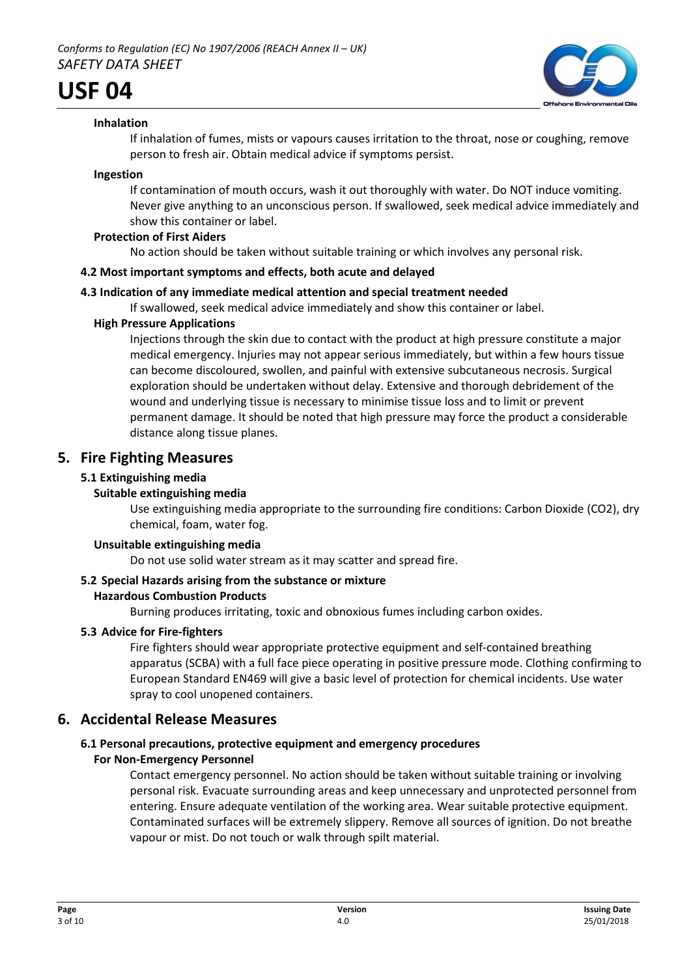

## **Inhalation**

If inhalation of fumes, mists or vapours causes irritation to the throat, nose or coughing, remove person to fresh air. Obtain medical advice if symptoms persist.

#### **Ingestion**

If contamination of mouth occurs, wash it out thoroughly with water. Do NOT induce vomiting. Never give anything to an unconscious person. If swallowed, seek medical advice immediately and show this container or label.

#### **Protection of First Aiders**

No action should be taken without suitable training or which involves any personal risk.

## **4.2 Most important symptoms and effects, both acute and delayed**

## **4.3 Indication of any immediate medical attention and special treatment needed**

If swallowed, seek medical advice immediately and show this container or label.

## **High Pressure Applications**

Injections through the skin due to contact with the product at high pressure constitute a major medical emergency. Injuries may not appear serious immediately, but within a few hours tissue can become discoloured, swollen, and painful with extensive subcutaneous necrosis. Surgical exploration should be undertaken without delay. Extensive and thorough debridement of the wound and underlying tissue is necessary to minimise tissue loss and to limit or prevent permanent damage. It should be noted that high pressure may force the product a considerable distance along tissue planes.

## **5. Fire Fighting Measures**

## **5.1 Extinguishing media**

## **Suitable extinguishing media**

Use extinguishing media appropriate to the surrounding fire conditions: Carbon Dioxide (CO2), dry chemical, foam, water fog.

#### **Unsuitable extinguishing media**

Do not use solid water stream as it may scatter and spread fire.

## **5.2 Special Hazards arising from the substance or mixture**

#### **Hazardous Combustion Products**

Burning produces irritating, toxic and obnoxious fumes including carbon oxides.

#### **5.3 Advice for Fire-fighters**

Fire fighters should wear appropriate protective equipment and self-contained breathing apparatus (SCBA) with a full face piece operating in positive pressure mode. Clothing confirming to European Standard EN469 will give a basic level of protection for chemical incidents. Use water spray to cool unopened containers.

## **6. Accidental Release Measures**

## **6.1 Personal precautions, protective equipment and emergency procedures**

## **For Non-Emergency Personnel**

Contact emergency personnel. No action should be taken without suitable training or involving personal risk. Evacuate surrounding areas and keep unnecessary and unprotected personnel from entering. Ensure adequate ventilation of the working area. Wear suitable protective equipment. Contaminated surfaces will be extremely slippery. Remove all sources of ignition. Do not breathe vapour or mist. Do not touch or walk through spilt material.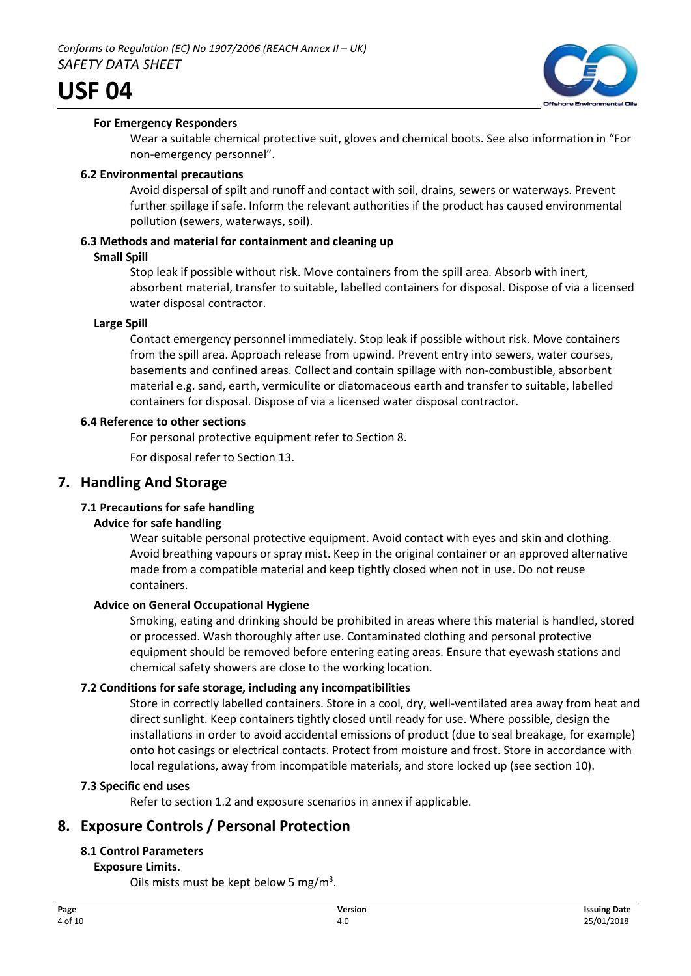

## **For Emergency Responders**

Wear a suitable chemical protective suit, gloves and chemical boots. See also information in "For non-emergency personnel".

#### **6.2 Environmental precautions**

Avoid dispersal of spilt and runoff and contact with soil, drains, sewers or waterways. Prevent further spillage if safe. Inform the relevant authorities if the product has caused environmental pollution (sewers, waterways, soil).

## **6.3 Methods and material for containment and cleaning up**

#### **Small Spill**

Stop leak if possible without risk. Move containers from the spill area. Absorb with inert, absorbent material, transfer to suitable, labelled containers for disposal. Dispose of via a licensed water disposal contractor.

#### **Large Spill**

Contact emergency personnel immediately. Stop leak if possible without risk. Move containers from the spill area. Approach release from upwind. Prevent entry into sewers, water courses, basements and confined areas. Collect and contain spillage with non-combustible, absorbent material e.g. sand, earth, vermiculite or diatomaceous earth and transfer to suitable, labelled containers for disposal. Dispose of via a licensed water disposal contractor.

## **6.4 Reference to other sections**

For personal protective equipment refer to Section 8.

For disposal refer to Section 13.

## **7. Handling And Storage**

## **7.1 Precautions for safe handling**

#### **Advice for safe handling**

Wear suitable personal protective equipment. Avoid contact with eyes and skin and clothing. Avoid breathing vapours or spray mist. Keep in the original container or an approved alternative made from a compatible material and keep tightly closed when not in use. Do not reuse containers.

#### **Advice on General Occupational Hygiene**

Smoking, eating and drinking should be prohibited in areas where this material is handled, stored or processed. Wash thoroughly after use. Contaminated clothing and personal protective equipment should be removed before entering eating areas. Ensure that eyewash stations and chemical safety showers are close to the working location.

#### **7.2 Conditions for safe storage, including any incompatibilities**

Store in correctly labelled containers. Store in a cool, dry, well-ventilated area away from heat and direct sunlight. Keep containers tightly closed until ready for use. Where possible, design the installations in order to avoid accidental emissions of product (due to seal breakage, for example) onto hot casings or electrical contacts. Protect from moisture and frost. Store in accordance with local regulations, away from incompatible materials, and store locked up (see section 10).

#### **7.3 Specific end uses**

Refer to section 1.2 and exposure scenarios in annex if applicable.

## **8. Exposure Controls / Personal Protection**

## **8.1 Control Parameters**

## **Exposure Limits.**

Oils mists must be kept below 5 mg/ $m^3$ .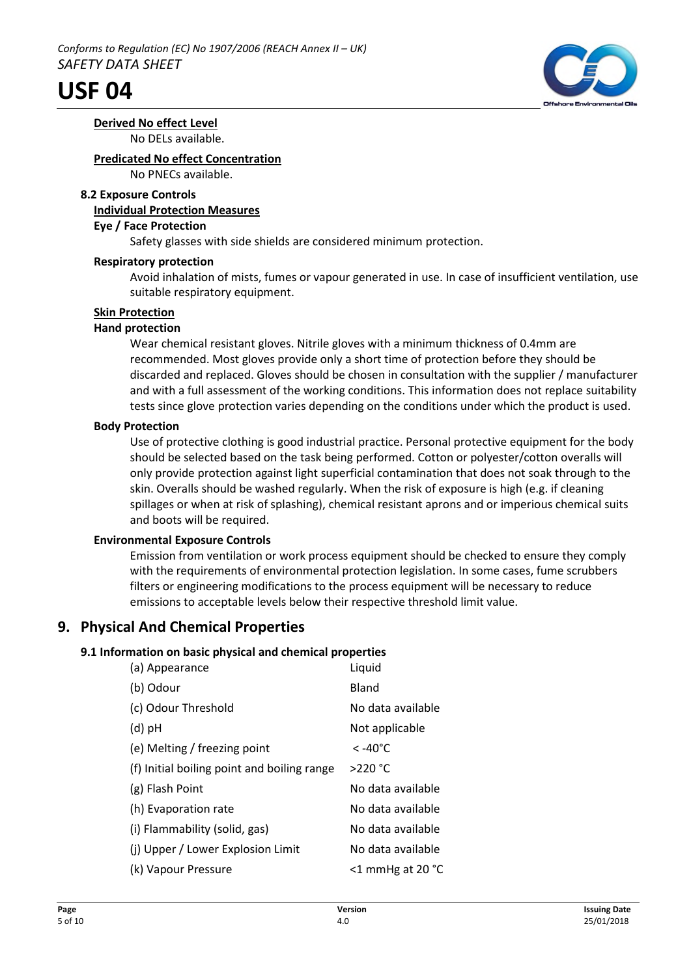

**Derived No effect Level** No DELs available.

## **Predicated No effect Concentration**

No PNECs available.

## **8.2 Exposure Controls**

## **Individual Protection Measures**

#### **Eye / Face Protection**

Safety glasses with side shields are considered minimum protection.

## **Respiratory protection**

Avoid inhalation of mists, fumes or vapour generated in use. In case of insufficient ventilation, use suitable respiratory equipment.

## **Skin Protection**

## **Hand protection**

Wear chemical resistant gloves. Nitrile gloves with a minimum thickness of 0.4mm are recommended. Most gloves provide only a short time of protection before they should be discarded and replaced. Gloves should be chosen in consultation with the supplier / manufacturer and with a full assessment of the working conditions. This information does not replace suitability tests since glove protection varies depending on the conditions under which the product is used.

## **Body Protection**

Use of protective clothing is good industrial practice. Personal protective equipment for the body should be selected based on the task being performed. Cotton or polyester/cotton overalls will only provide protection against light superficial contamination that does not soak through to the skin. Overalls should be washed regularly. When the risk of exposure is high (e.g. if cleaning spillages or when at risk of splashing), chemical resistant aprons and or imperious chemical suits and boots will be required.

## **Environmental Exposure Controls**

Emission from ventilation or work process equipment should be checked to ensure they comply with the requirements of environmental protection legislation. In some cases, fume scrubbers filters or engineering modifications to the process equipment will be necessary to reduce emissions to acceptable levels below their respective threshold limit value.

## **9. Physical And Chemical Properties**

## **9.1 Information on basic physical and chemical properties**

| (a) Appearance                              | Liquid                        |
|---------------------------------------------|-------------------------------|
| (b) Odour                                   | Bland                         |
| (c) Odour Threshold                         | No data available             |
| $(d)$ pH                                    | Not applicable                |
| (e) Melting / freezing point                | $< -40^{\circ}$ C             |
| (f) Initial boiling point and boiling range | $>220$ °C                     |
| (g) Flash Point                             | No data available             |
| (h) Evaporation rate                        | No data available             |
| (i) Flammability (solid, gas)               | No data available             |
| (i) Upper / Lower Explosion Limit           | No data available             |
| (k) Vapour Pressure                         | $<$ 1 mmHg at 20 $^{\circ}$ C |
|                                             |                               |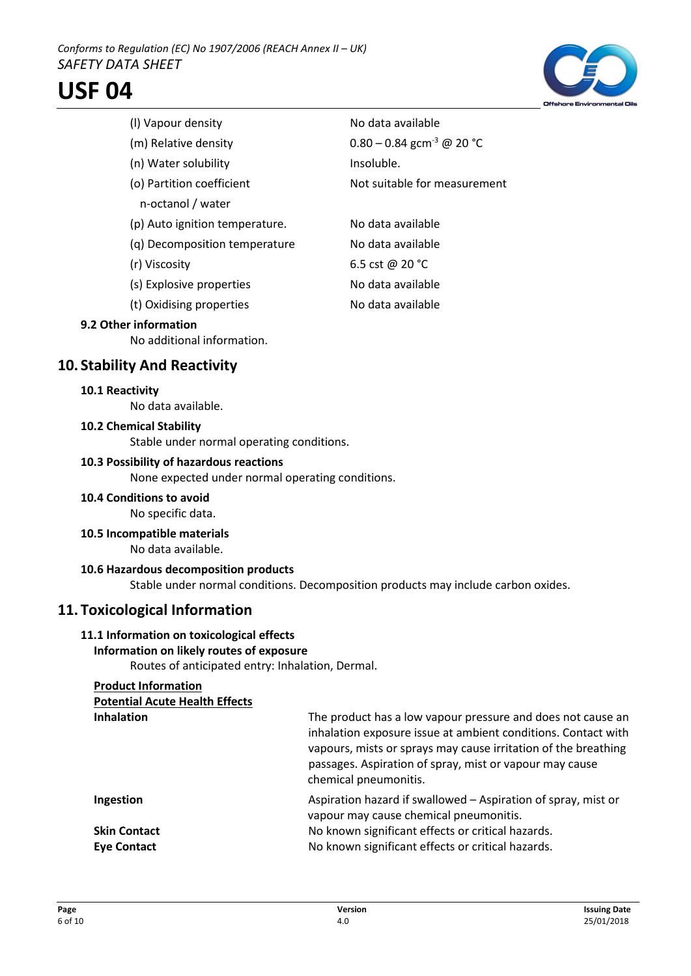

(I) Vapour density No data available (m) Relative density  $0.80 - 0.84$  gcm<sup>-3</sup> @ 20 °C (n) Water solubility and the linsoluble. (o) Partition coefficient Not suitable for measurement n-octanol / water (p) Auto ignition temperature. No data available (q) Decomposition temperature No data available

- 
- (r) Viscosity 6.5 cst @ 20 °C (s) Explosive properties No data available
- (t) Oxidising properties No data available

## **9.2 Other information**

No additional information.

## **10. Stability And Reactivity**

#### **10.1 Reactivity**

No data available.

#### **10.2 Chemical Stability**

Stable under normal operating conditions.

#### **10.3 Possibility of hazardous reactions**

None expected under normal operating conditions.

**10.4 Conditions to avoid**

No specific data.

#### **10.5 Incompatible materials**

No data available.

#### **10.6 Hazardous decomposition products**

Stable under normal conditions. Decomposition products may include carbon oxides.

## **11. Toxicological Information**

#### **11.1 Information on toxicological effects**

#### **Information on likely routes of exposure**

Routes of anticipated entry: Inhalation, Dermal.

#### **Product Information Poster Line Health Effects**

| Potential Acute Health Effects            |                                                                                                                                                                                                                                                                                    |
|-------------------------------------------|------------------------------------------------------------------------------------------------------------------------------------------------------------------------------------------------------------------------------------------------------------------------------------|
| <b>Inhalation</b>                         | The product has a low vapour pressure and does not cause an<br>inhalation exposure issue at ambient conditions. Contact with<br>vapours, mists or sprays may cause irritation of the breathing<br>passages. Aspiration of spray, mist or vapour may cause<br>chemical pneumonitis. |
| Ingestion                                 | Aspiration hazard if swallowed - Aspiration of spray, mist or<br>vapour may cause chemical pneumonitis.                                                                                                                                                                            |
| <b>Skin Contact</b><br><b>Eye Contact</b> | No known significant effects or critical hazards.<br>No known significant effects or critical hazards.                                                                                                                                                                             |
|                                           |                                                                                                                                                                                                                                                                                    |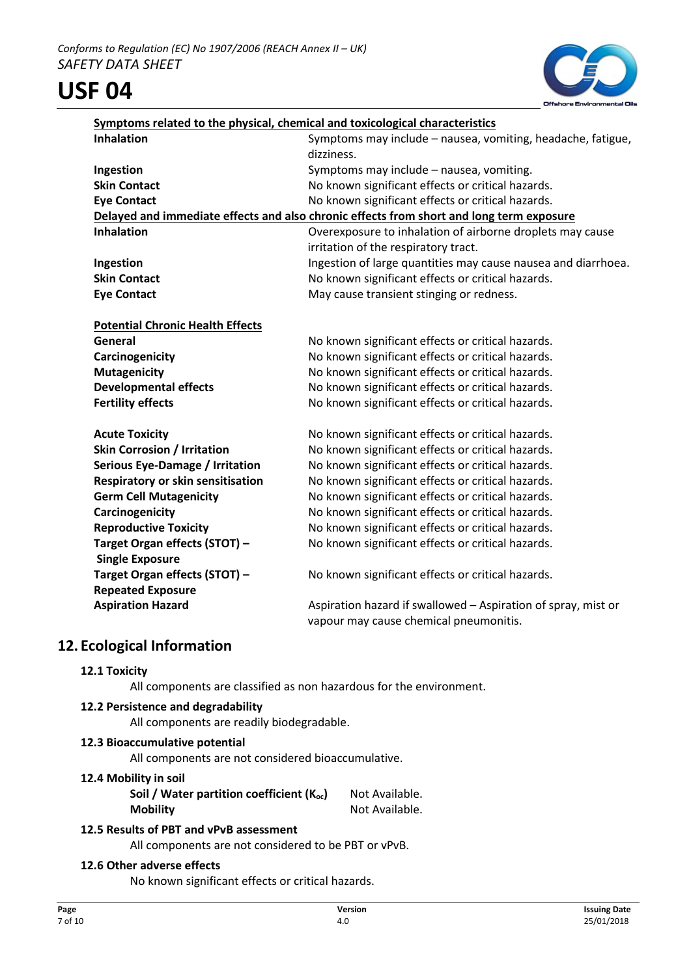

| <b>Inhalation</b>                       | Symptoms related to the physical, chemical and toxicological characteristics<br>Symptoms may include - nausea, vomiting, headache, fatigue, |
|-----------------------------------------|---------------------------------------------------------------------------------------------------------------------------------------------|
|                                         | dizziness.                                                                                                                                  |
| Ingestion                               | Symptoms may include - nausea, vomiting.                                                                                                    |
| <b>Skin Contact</b>                     | No known significant effects or critical hazards.                                                                                           |
| <b>Eye Contact</b>                      | No known significant effects or critical hazards.                                                                                           |
|                                         | Delayed and immediate effects and also chronic effects from short and long term exposure                                                    |
| <b>Inhalation</b>                       | Overexposure to inhalation of airborne droplets may cause                                                                                   |
|                                         | irritation of the respiratory tract.                                                                                                        |
| Ingestion                               | Ingestion of large quantities may cause nausea and diarrhoea.                                                                               |
| <b>Skin Contact</b>                     | No known significant effects or critical hazards.                                                                                           |
| <b>Eye Contact</b>                      | May cause transient stinging or redness.                                                                                                    |
| <b>Potential Chronic Health Effects</b> |                                                                                                                                             |
| General                                 | No known significant effects or critical hazards.                                                                                           |
| Carcinogenicity                         | No known significant effects or critical hazards.                                                                                           |
| <b>Mutagenicity</b>                     | No known significant effects or critical hazards.                                                                                           |
| <b>Developmental effects</b>            | No known significant effects or critical hazards.                                                                                           |
| <b>Fertility effects</b>                | No known significant effects or critical hazards.                                                                                           |
| <b>Acute Toxicity</b>                   | No known significant effects or critical hazards.                                                                                           |
| <b>Skin Corrosion / Irritation</b>      | No known significant effects or critical hazards.                                                                                           |
| Serious Eye-Damage / Irritation         | No known significant effects or critical hazards.                                                                                           |
| Respiratory or skin sensitisation       | No known significant effects or critical hazards.                                                                                           |
| <b>Germ Cell Mutagenicity</b>           | No known significant effects or critical hazards.                                                                                           |
| Carcinogenicity                         | No known significant effects or critical hazards.                                                                                           |
| <b>Reproductive Toxicity</b>            | No known significant effects or critical hazards.                                                                                           |
| Target Organ effects (STOT) -           | No known significant effects or critical hazards.                                                                                           |
| <b>Single Exposure</b>                  |                                                                                                                                             |
| Target Organ effects (STOT) -           | No known significant effects or critical hazards.                                                                                           |
| <b>Repeated Exposure</b>                |                                                                                                                                             |
| <b>Aspiration Hazard</b>                | Aspiration hazard if swallowed - Aspiration of spray, mist or                                                                               |
|                                         | vapour may cause chemical pneumonitis.                                                                                                      |
| 12. Ecological Information              |                                                                                                                                             |
| 12 1 Tovicity                           |                                                                                                                                             |

## **12.1 Toxicity**

All components are classified as non hazardous for the environment.

#### **12.2 Persistence and degradability**

All components are readily biodegradable.

## **12.3 Bioaccumulative potential**

All components are not considered bioaccumulative.

#### **12.4 Mobility in soil**

**Soil / Water partition coefficient (K<sub>oc</sub>)** Not Available. **Mobility** Not Available.

## **12.5 Results of PBT and vPvB assessment**

All components are not considered to be PBT or vPvB.

## **12.6 Other adverse effects**

No known significant effects or critical hazards.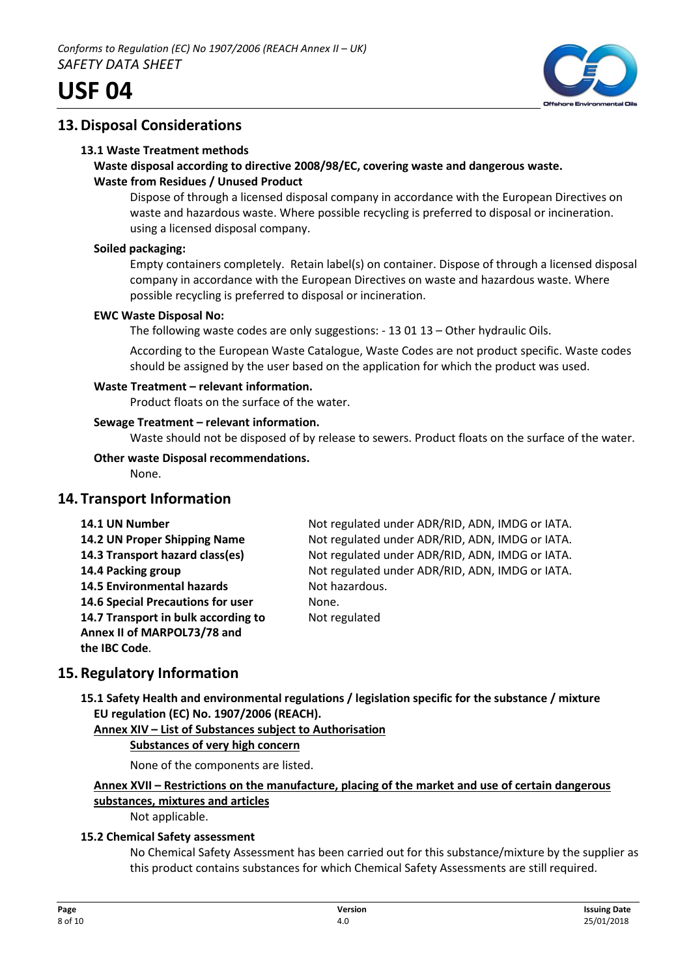

## **13.Disposal Considerations**

## **13.1 Waste Treatment methods**

## **Waste disposal according to directive 2008/98/EC, covering waste and dangerous waste. Waste from Residues / Unused Product**

Dispose of through a licensed disposal company in accordance with the European Directives on waste and hazardous waste. Where possible recycling is preferred to disposal or incineration. using a licensed disposal company.

## **Soiled packaging:**

Empty containers completely. Retain label(s) on container. Dispose of through a licensed disposal company in accordance with the European Directives on waste and hazardous waste. Where possible recycling is preferred to disposal or incineration.

## **EWC Waste Disposal No:**

The following waste codes are only suggestions: - 13 01 13 – Other hydraulic Oils.

According to the European Waste Catalogue, Waste Codes are not product specific. Waste codes should be assigned by the user based on the application for which the product was used.

## **Waste Treatment – relevant information.**

Product floats on the surface of the water.

## **Sewage Treatment – relevant information.**

Waste should not be disposed of by release to sewers. Product floats on the surface of the water.

## **Other waste Disposal recommendations.**

None.

## **14. Transport Information**

| 14.1 UN Number                      | Not regulated under ADR/RID, ADN, IMDG or IATA. |
|-------------------------------------|-------------------------------------------------|
| 14.2 UN Proper Shipping Name        | Not regulated under ADR/RID, ADN, IMDG or IATA. |
| 14.3 Transport hazard class(es)     | Not regulated under ADR/RID, ADN, IMDG or IATA. |
| 14.4 Packing group                  | Not regulated under ADR/RID, ADN, IMDG or IATA. |
| <b>14.5 Environmental hazards</b>   | Not hazardous.                                  |
| 14.6 Special Precautions for user   | None.                                           |
| 14.7 Transport in bulk according to | Not regulated                                   |
| Annex II of MARPOL73/78 and         |                                                 |
| the IBC Code.                       |                                                 |

## **15.Regulatory Information**

**15.1 Safety Health and environmental regulations / legislation specific for the substance / mixture EU regulation (EC) No. 1907/2006 (REACH).**

## **Annex XIV – List of Substances subject to Authorisation**

#### **Substances of very high concern**

None of the components are listed.

## **Annex XVII – Restrictions on the manufacture, placing of the market and use of certain dangerous substances, mixtures and articles**

Not applicable.

## **15.2 Chemical Safety assessment**

No Chemical Safety Assessment has been carried out for this substance/mixture by the supplier as this product contains substances for which Chemical Safety Assessments are still required.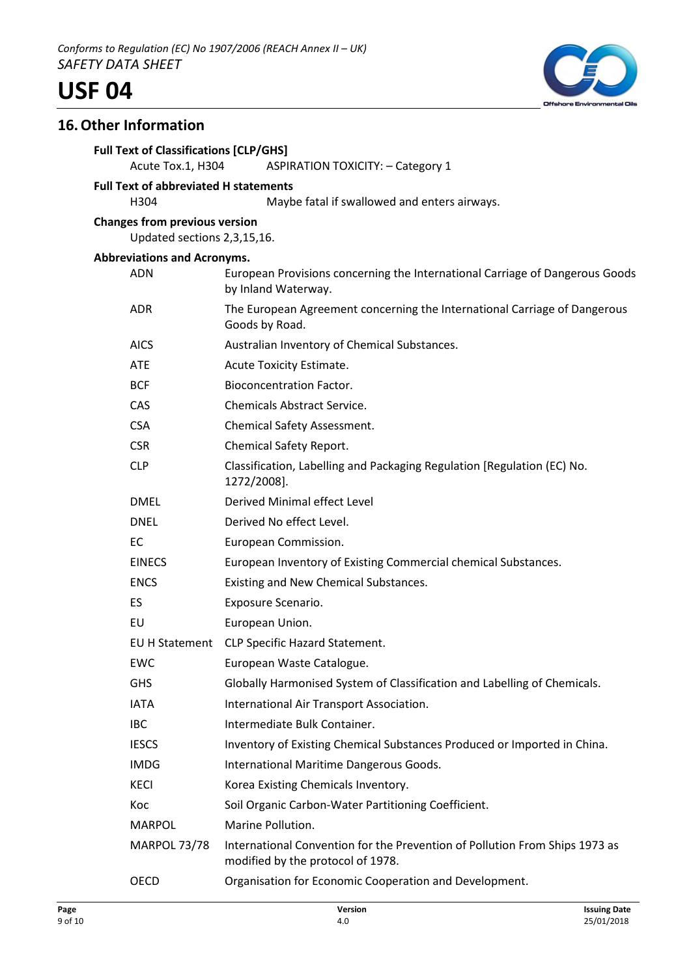

## **16.Other Information**

| <b>Full Text of Classifications [CLP/GHS]</b><br>Acute Tox.1, H304  | <b>ASPIRATION TOXICITY: - Category 1</b>                                                                         |
|---------------------------------------------------------------------|------------------------------------------------------------------------------------------------------------------|
| <b>Full Text of abbreviated H statements</b><br>H304                | Maybe fatal if swallowed and enters airways.                                                                     |
| <b>Changes from previous version</b><br>Updated sections 2,3,15,16. |                                                                                                                  |
| <b>Abbreviations and Acronyms.</b>                                  |                                                                                                                  |
| <b>ADN</b>                                                          | European Provisions concerning the International Carriage of Dangerous Goods<br>by Inland Waterway.              |
| <b>ADR</b>                                                          | The European Agreement concerning the International Carriage of Dangerous<br>Goods by Road.                      |
| <b>AICS</b>                                                         | Australian Inventory of Chemical Substances.                                                                     |
| <b>ATE</b>                                                          | Acute Toxicity Estimate.                                                                                         |
| <b>BCF</b>                                                          | <b>Bioconcentration Factor.</b>                                                                                  |
| <b>CAS</b>                                                          | <b>Chemicals Abstract Service.</b>                                                                               |
| <b>CSA</b>                                                          | Chemical Safety Assessment.                                                                                      |
| <b>CSR</b>                                                          | Chemical Safety Report.                                                                                          |
| <b>CLP</b>                                                          | Classification, Labelling and Packaging Regulation [Regulation (EC) No.<br>1272/2008].                           |
| <b>DMEL</b>                                                         | Derived Minimal effect Level                                                                                     |
| <b>DNEL</b>                                                         | Derived No effect Level.                                                                                         |
| EC                                                                  | European Commission.                                                                                             |
| <b>EINECS</b>                                                       | European Inventory of Existing Commercial chemical Substances.                                                   |
| <b>ENCS</b>                                                         | Existing and New Chemical Substances.                                                                            |
| ES                                                                  | Exposure Scenario.                                                                                               |
| EU                                                                  | European Union.                                                                                                  |
|                                                                     | EU H Statement CLP Specific Hazard Statement.                                                                    |
| <b>EWC</b>                                                          | European Waste Catalogue.                                                                                        |
| <b>GHS</b>                                                          | Globally Harmonised System of Classification and Labelling of Chemicals.                                         |
| <b>IATA</b>                                                         | International Air Transport Association.                                                                         |
| <b>IBC</b>                                                          | Intermediate Bulk Container.                                                                                     |
| <b>IESCS</b>                                                        | Inventory of Existing Chemical Substances Produced or Imported in China.                                         |
| <b>IMDG</b>                                                         | International Maritime Dangerous Goods.                                                                          |
| <b>KECI</b>                                                         | Korea Existing Chemicals Inventory.                                                                              |
| Koc                                                                 | Soil Organic Carbon-Water Partitioning Coefficient.                                                              |
| <b>MARPOL</b>                                                       | Marine Pollution.                                                                                                |
| <b>MARPOL 73/78</b>                                                 | International Convention for the Prevention of Pollution From Ships 1973 as<br>modified by the protocol of 1978. |
| <b>OECD</b>                                                         | Organisation for Economic Cooperation and Development.                                                           |